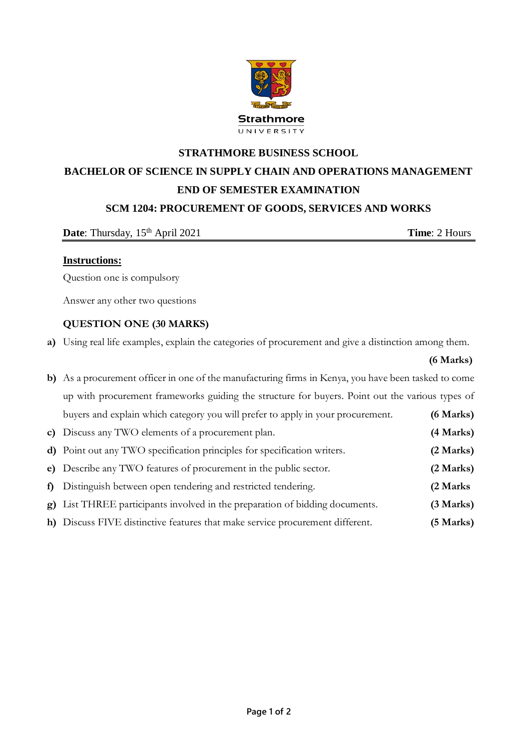

# **STRATHMORE BUSINESS SCHOOL BACHELOR OF SCIENCE IN SUPPLY CHAIN AND OPERATIONS MANAGEMENT END OF SEMESTER EXAMINATION SCM 1204: PROCUREMENT OF GOODS, SERVICES AND WORKS**

**Date**: Thursday, 15<sup>th</sup> April 2021 **Time**: 2 Hours

## **Instructions:**

Question one is compulsory

Answer any other two questions

# **QUESTION ONE (30 MARKS)**

**a)** Using real life examples, explain the categories of procurement and give a distinction among them.

|  | (6 Marks) |  |
|--|-----------|--|
|--|-----------|--|

| b) As a procurement officer in one of the manufacturing firms in Kenya, you have been tasked to come |           |
|------------------------------------------------------------------------------------------------------|-----------|
| up with procurement frameworks guiding the structure for buyers. Point out the various types of      |           |
| buyers and explain which category you will prefer to apply in your procurement.                      | (6 Marks) |
| c) Discuss any TWO elements of a procurement plan.                                                   | (4 Marks) |
| d) Point out any TWO specification principles for specification writers.                             | (2 Marks) |
| e) Describe any TWO features of procurement in the public sector.                                    | (2 Marks) |
| f) Distinguish between open tendering and restricted tendering.                                      | (2 Marks) |
| g) List THREE participants involved in the preparation of bidding documents.                         | (3 Marks) |
| h) Discuss FIVE distinctive features that make service procurement different.                        | (5 Marks) |